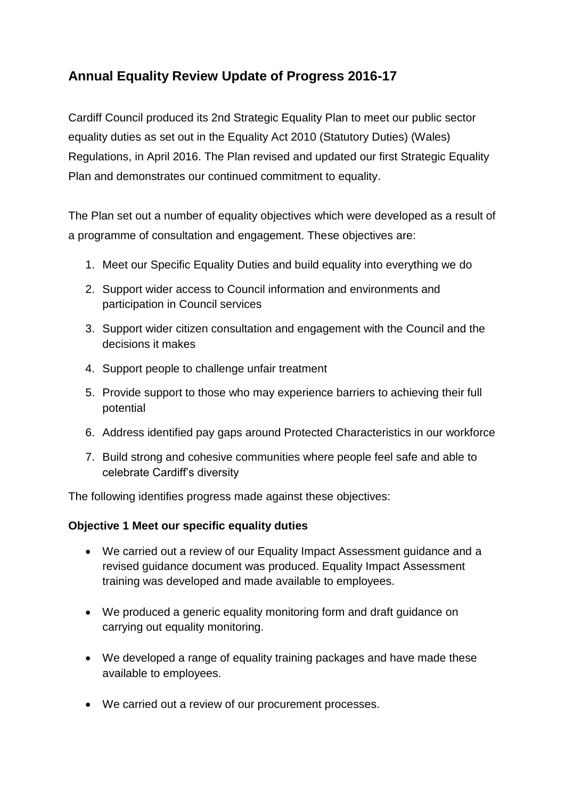## **Annual Equality Review Update of Progress 2016-17**

Cardiff Council produced its 2nd Strategic Equality Plan to meet our public sector equality duties as set out in the Equality Act 2010 (Statutory Duties) (Wales) Regulations, in April 2016. The Plan revised and updated our first Strategic Equality Plan and demonstrates our continued commitment to equality.

The Plan set out a number of equality objectives which were developed as a result of a programme of consultation and engagement. These objectives are:

- 1. Meet our Specific Equality Duties and build equality into everything we do
- 2. Support wider access to Council information and environments and participation in Council services
- 3. Support wider citizen consultation and engagement with the Council and the decisions it makes
- 4. Support people to challenge unfair treatment
- 5. Provide support to those who may experience barriers to achieving their full potential
- 6. Address identified pay gaps around Protected Characteristics in our workforce
- 7. Build strong and cohesive communities where people feel safe and able to celebrate Cardiff's diversity

The following identifies progress made against these objectives:

### **Objective 1 Meet our specific equality duties**

- We carried out a review of our Equality Impact Assessment guidance and a revised guidance document was produced. Equality Impact Assessment training was developed and made available to employees.
- We produced a generic equality monitoring form and draft guidance on carrying out equality monitoring.
- We developed a range of equality training packages and have made these available to employees.
- We carried out a review of our procurement processes.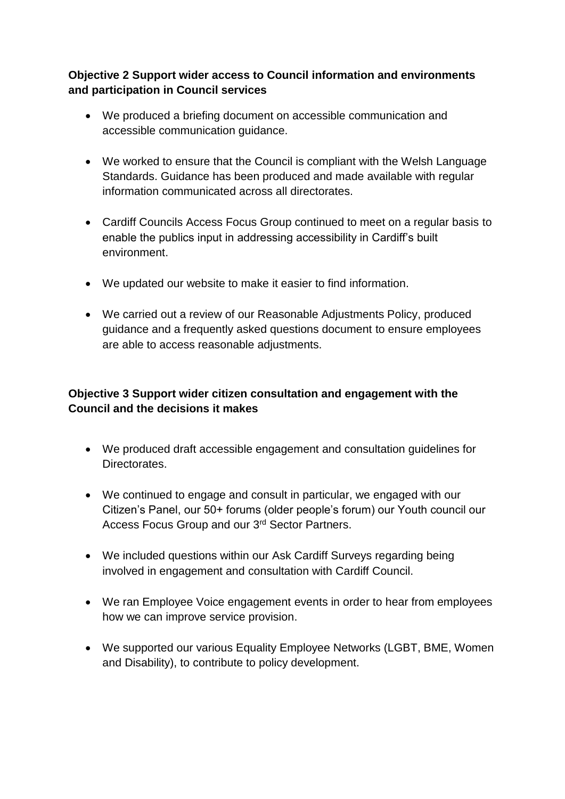### **Objective 2 Support wider access to Council information and environments and participation in Council services**

- We produced a briefing document on accessible communication and accessible communication guidance.
- We worked to ensure that the Council is compliant with the Welsh Language Standards. Guidance has been produced and made available with regular information communicated across all directorates.
- Cardiff Councils Access Focus Group continued to meet on a regular basis to enable the publics input in addressing accessibility in Cardiff's built environment.
- We updated our website to make it easier to find information.
- We carried out a review of our Reasonable Adjustments Policy, produced guidance and a frequently asked questions document to ensure employees are able to access reasonable adjustments.

### **Objective 3 Support wider citizen consultation and engagement with the Council and the decisions it makes**

- We produced draft accessible engagement and consultation guidelines for **Directorates**
- We continued to engage and consult in particular, we engaged with our Citizen's Panel, our 50+ forums (older people's forum) our Youth council our Access Focus Group and our 3rd Sector Partners.
- We included questions within our Ask Cardiff Surveys regarding being involved in engagement and consultation with Cardiff Council.
- We ran Employee Voice engagement events in order to hear from employees how we can improve service provision.
- We supported our various Equality Employee Networks (LGBT, BME, Women and Disability), to contribute to policy development.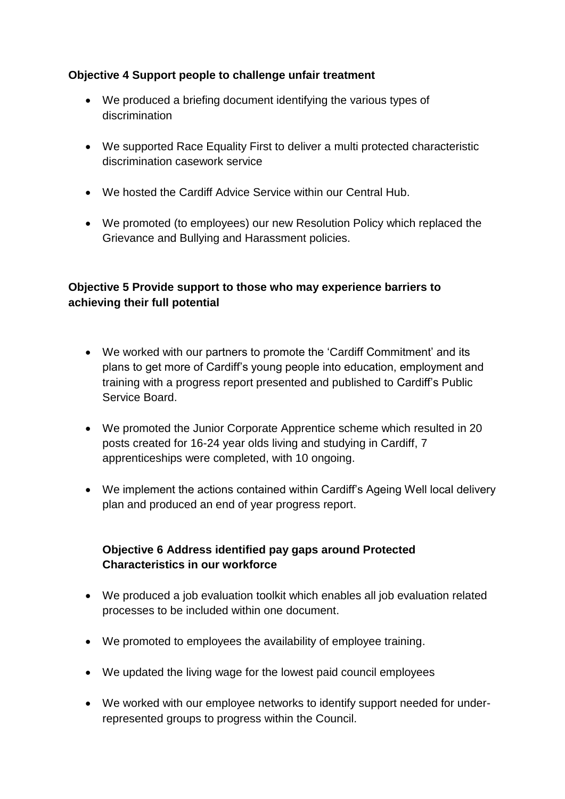### **Objective 4 Support people to challenge unfair treatment**

- We produced a briefing document identifying the various types of discrimination
- We supported Race Equality First to deliver a multi protected characteristic discrimination casework service
- We hosted the Cardiff Advice Service within our Central Hub.
- We promoted (to employees) our new Resolution Policy which replaced the Grievance and Bullying and Harassment policies.

### **Objective 5 Provide support to those who may experience barriers to achieving their full potential**

- We worked with our partners to promote the 'Cardiff Commitment' and its plans to get more of Cardiff's young people into education, employment and training with a progress report presented and published to Cardiff's Public Service Board.
- We promoted the Junior Corporate Apprentice scheme which resulted in 20 posts created for 16-24 year olds living and studying in Cardiff, 7 apprenticeships were completed, with 10 ongoing.
- We implement the actions contained within Cardiff's Ageing Well local delivery plan and produced an end of year progress report.

### **Objective 6 Address identified pay gaps around Protected Characteristics in our workforce**

- We produced a job evaluation toolkit which enables all job evaluation related processes to be included within one document.
- We promoted to employees the availability of employee training.
- We updated the living wage for the lowest paid council employees
- We worked with our employee networks to identify support needed for underrepresented groups to progress within the Council.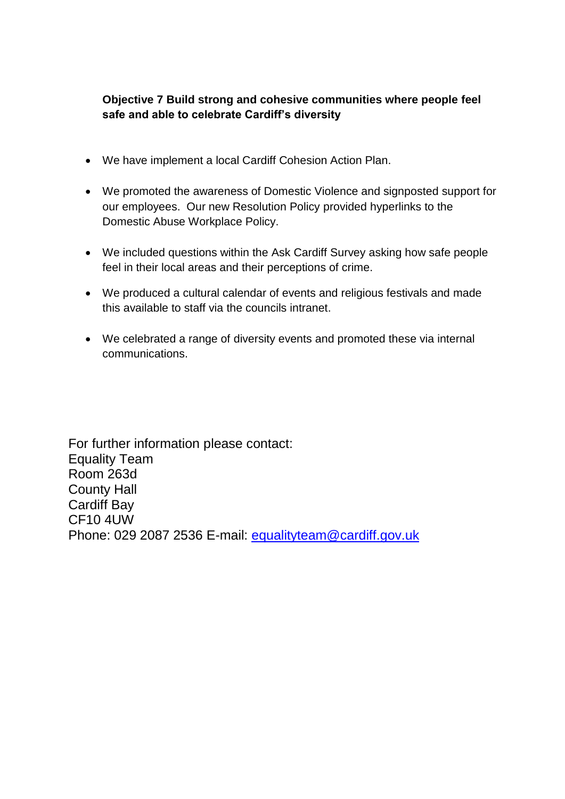### **Objective 7 Build strong and cohesive communities where people feel safe and able to celebrate Cardiff's diversity**

- We have implement a local Cardiff Cohesion Action Plan.
- We promoted the awareness of Domestic Violence and signposted support for our employees. Our new Resolution Policy provided hyperlinks to the Domestic Abuse Workplace Policy.
- We included questions within the Ask Cardiff Survey asking how safe people feel in their local areas and their perceptions of crime.
- We produced a cultural calendar of events and religious festivals and made this available to staff via the councils intranet.
- We celebrated a range of diversity events and promoted these via internal communications.

For further information please contact: Equality Team Room 263d County Hall Cardiff Bay CF10 4UW Phone: 029 2087 2536 E-mail: [equalityteam@cardiff.gov.uk](mailto:equalityteam@cardiff.gov.uk)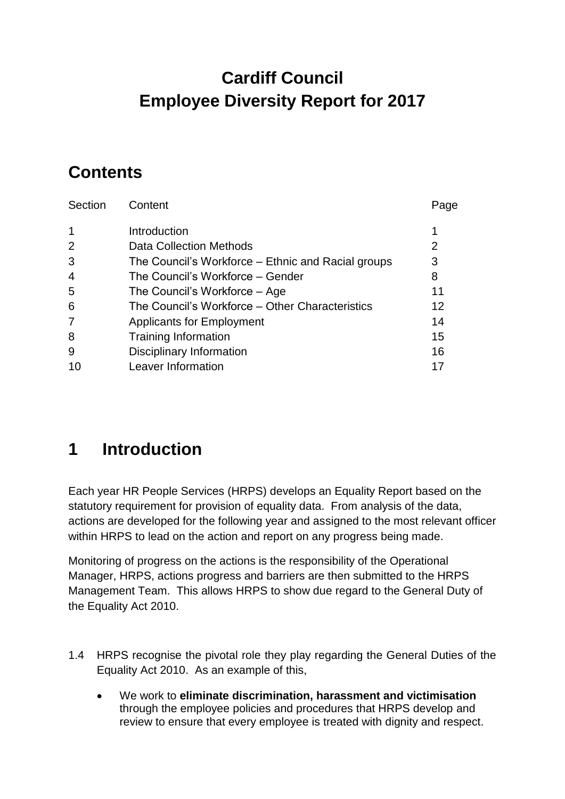# **Cardiff Council Employee Diversity Report for 2017**

# **Contents**

| Section        | Content                                            | Page    |
|----------------|----------------------------------------------------|---------|
| 1              | Introduction                                       |         |
| 2              | Data Collection Methods                            | 2       |
| 3              | The Council's Workforce – Ethnic and Racial groups | 3       |
| $\overline{4}$ | The Council's Workforce - Gender                   | 8       |
| 5              | The Council's Workforce – Age                      | 11      |
| 6              | The Council's Workforce – Other Characteristics    | $12 \,$ |
| $\overline{7}$ | <b>Applicants for Employment</b>                   | 14      |
| 8              | Training Information                               | 15      |
| 9              | <b>Disciplinary Information</b>                    | 16      |
| 10             | Leaver Information                                 |         |

# **1 Introduction**

Each year HR People Services (HRPS) develops an Equality Report based on the statutory requirement for provision of equality data. From analysis of the data, actions are developed for the following year and assigned to the most relevant officer within HRPS to lead on the action and report on any progress being made.

Monitoring of progress on the actions is the responsibility of the Operational Manager, HRPS, actions progress and barriers are then submitted to the HRPS Management Team. This allows HRPS to show due regard to the General Duty of the Equality Act 2010.

- 1.4 HRPS recognise the pivotal role they play regarding the General Duties of the Equality Act 2010. As an example of this,
	- We work to **eliminate discrimination, harassment and victimisation** through the employee policies and procedures that HRPS develop and review to ensure that every employee is treated with dignity and respect.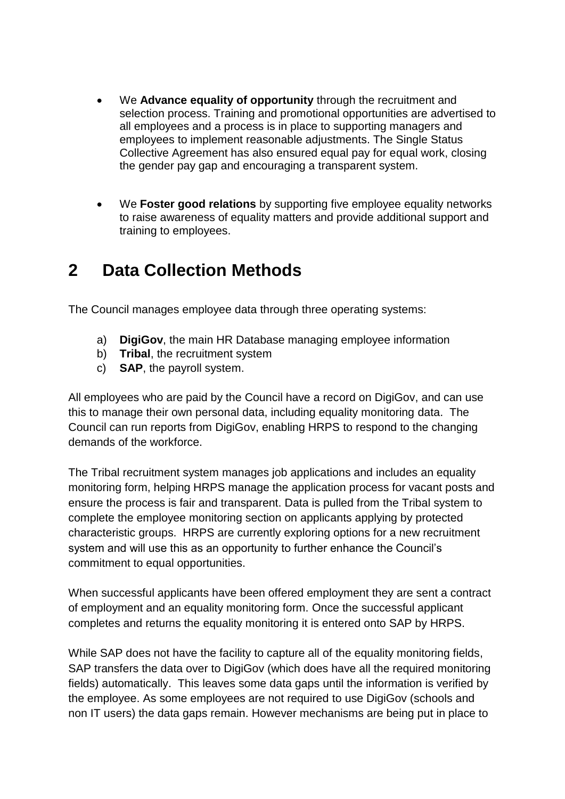- We **Advance equality of opportunity** through the recruitment and selection process. Training and promotional opportunities are advertised to all employees and a process is in place to supporting managers and employees to implement reasonable adjustments. The Single Status Collective Agreement has also ensured equal pay for equal work, closing the gender pay gap and encouraging a transparent system.
- We **Foster good relations** by supporting five employee equality networks to raise awareness of equality matters and provide additional support and training to employees.

## **2 Data Collection Methods**

The Council manages employee data through three operating systems:

- a) **DigiGov**, the main HR Database managing employee information
- b) **Tribal**, the recruitment system
- c) **SAP**, the payroll system.

All employees who are paid by the Council have a record on DigiGov, and can use this to manage their own personal data, including equality monitoring data. The Council can run reports from DigiGov, enabling HRPS to respond to the changing demands of the workforce.

The Tribal recruitment system manages job applications and includes an equality monitoring form, helping HRPS manage the application process for vacant posts and ensure the process is fair and transparent. Data is pulled from the Tribal system to complete the employee monitoring section on applicants applying by protected characteristic groups. HRPS are currently exploring options for a new recruitment system and will use this as an opportunity to further enhance the Council's commitment to equal opportunities.

When successful applicants have been offered employment they are sent a contract of employment and an equality monitoring form. Once the successful applicant completes and returns the equality monitoring it is entered onto SAP by HRPS.

While SAP does not have the facility to capture all of the equality monitoring fields, SAP transfers the data over to DigiGov (which does have all the required monitoring fields) automatically. This leaves some data gaps until the information is verified by the employee. As some employees are not required to use DigiGov (schools and non IT users) the data gaps remain. However mechanisms are being put in place to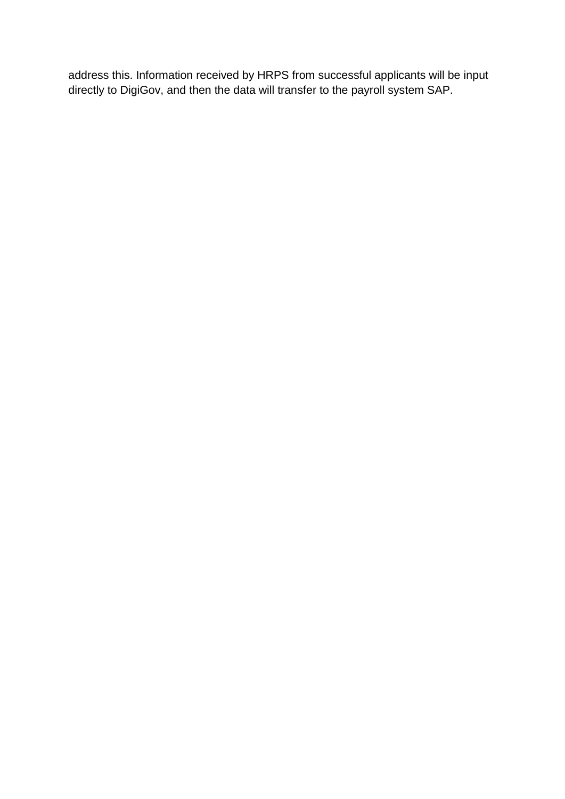address this. Information received by HRPS from successful applicants will be input directly to DigiGov, and then the data will transfer to the payroll system SAP.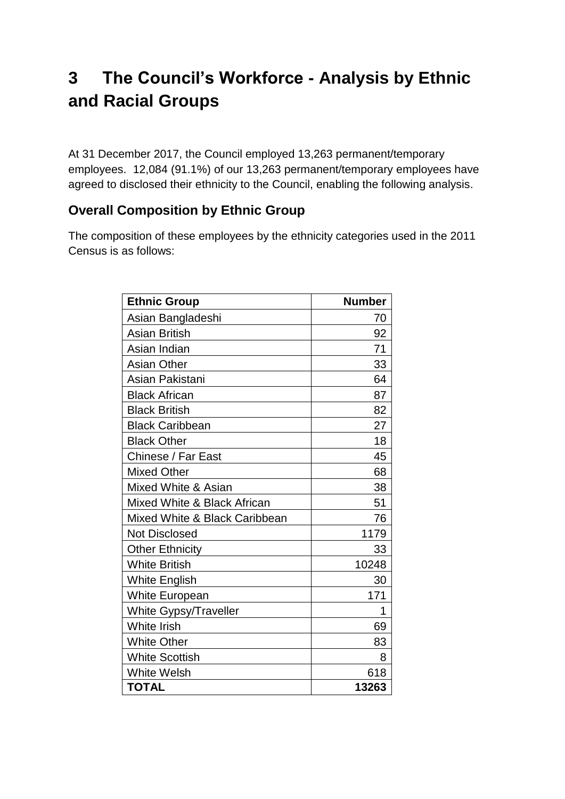# **3 The Council's Workforce - Analysis by Ethnic and Racial Groups**

At 31 December 2017, the Council employed 13,263 permanent/temporary employees. 12,084 (91.1%) of our 13,263 permanent/temporary employees have agreed to disclosed their ethnicity to the Council, enabling the following analysis.

## **Overall Composition by Ethnic Group**

The composition of these employees by the ethnicity categories used in the 2011 Census is as follows:

| <b>Ethnic Group</b>           | <b>Number</b> |
|-------------------------------|---------------|
| Asian Bangladeshi             | 70            |
| <b>Asian British</b>          | 92            |
| Asian Indian                  | 71            |
| <b>Asian Other</b>            | 33            |
| Asian Pakistani               | 64            |
| <b>Black African</b>          | 87            |
| <b>Black British</b>          | 82            |
| <b>Black Caribbean</b>        | 27            |
| <b>Black Other</b>            | 18            |
| Chinese / Far East            | 45            |
| <b>Mixed Other</b>            | 68            |
| Mixed White & Asian           | 38            |
| Mixed White & Black African   | 51            |
| Mixed White & Black Caribbean | 76            |
| <b>Not Disclosed</b>          | 1179          |
| <b>Other Ethnicity</b>        | 33            |
| <b>White British</b>          | 10248         |
| <b>White English</b>          | 30            |
| White European                | 171           |
| <b>White Gypsy/Traveller</b>  | 1             |
| <b>White Irish</b>            | 69            |
| <b>White Other</b>            | 83            |
| <b>White Scottish</b>         | 8             |
| <b>White Welsh</b>            | 618           |
| <b>TOTAL</b>                  | 13263         |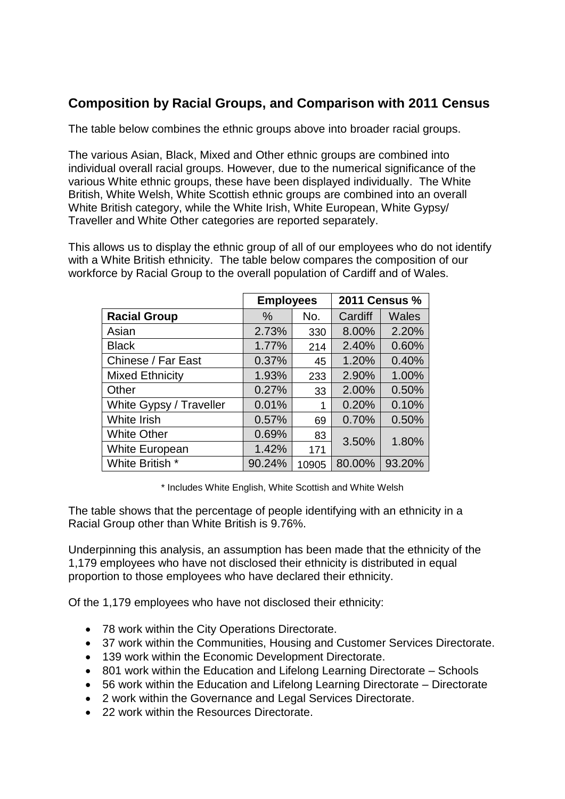## **Composition by Racial Groups, and Comparison with 2011 Census**

The table below combines the ethnic groups above into broader racial groups.

The various Asian, Black, Mixed and Other ethnic groups are combined into individual overall racial groups. However, due to the numerical significance of the various White ethnic groups, these have been displayed individually. The White British, White Welsh, White Scottish ethnic groups are combined into an overall White British category, while the White Irish, White European, White Gypsy/ Traveller and White Other categories are reported separately.

This allows us to display the ethnic group of all of our employees who do not identify with a White British ethnicity. The table below compares the composition of our workforce by Racial Group to the overall population of Cardiff and of Wales.

|                         | <b>Employees</b> |       | <b>2011 Census %</b> |              |  |
|-------------------------|------------------|-------|----------------------|--------------|--|
| <b>Racial Group</b>     | $\%$             | No.   | Cardiff              | <b>Wales</b> |  |
| Asian                   | 2.73%            | 330   | 8.00%                | 2.20%        |  |
| <b>Black</b>            | 1.77%            | 214   | 2.40%                | 0.60%        |  |
| Chinese / Far East      | 0.37%            | 45    | 1.20%                | 0.40%        |  |
| <b>Mixed Ethnicity</b>  | 1.93%            | 233   | 2.90%                | 1.00%        |  |
| Other                   | 0.27%            | 33    | 2.00%                | 0.50%        |  |
| White Gypsy / Traveller | 0.01%            | 1     | 0.20%                | 0.10%        |  |
| White Irish             | 0.57%            | 69    | 0.70%                | 0.50%        |  |
| <b>White Other</b>      | 0.69%            | 83    | 3.50%                | 1.80%        |  |
| White European          | 1.42%            | 171   |                      |              |  |
| White British *         | 90.24%           | 10905 | 80.00%               | 93.20%       |  |

\* Includes White English, White Scottish and White Welsh

The table shows that the percentage of people identifying with an ethnicity in a Racial Group other than White British is 9.76%.

Underpinning this analysis, an assumption has been made that the ethnicity of the 1,179 employees who have not disclosed their ethnicity is distributed in equal proportion to those employees who have declared their ethnicity.

Of the 1,179 employees who have not disclosed their ethnicity:

- 78 work within the City Operations Directorate.
- 37 work within the Communities, Housing and Customer Services Directorate.
- 139 work within the Economic Development Directorate.
- 801 work within the Education and Lifelong Learning Directorate Schools
- 56 work within the Education and Lifelong Learning Directorate Directorate
- 2 work within the Governance and Legal Services Directorate.
- 22 work within the Resources Directorate.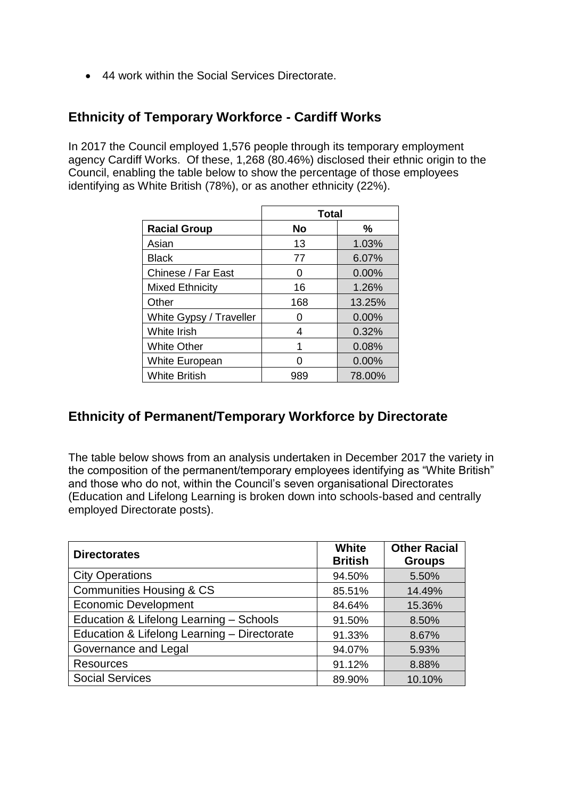44 work within the Social Services Directorate.

### **Ethnicity of Temporary Workforce - Cardiff Works**

In 2017 the Council employed 1,576 people through its temporary employment agency Cardiff Works. Of these, 1,268 (80.46%) disclosed their ethnic origin to the Council, enabling the table below to show the percentage of those employees identifying as White British (78%), or as another ethnicity (22%).

|                         | <b>Total</b> |          |  |  |  |  |  |
|-------------------------|--------------|----------|--|--|--|--|--|
| <b>Racial Group</b>     | No           | ℅        |  |  |  |  |  |
| Asian                   | 13           | 1.03%    |  |  |  |  |  |
| <b>Black</b>            | 77           | 6.07%    |  |  |  |  |  |
| Chinese / Far East      |              | $0.00\%$ |  |  |  |  |  |
| <b>Mixed Ethnicity</b>  | 16           | 1.26%    |  |  |  |  |  |
| Other                   | 168          | 13.25%   |  |  |  |  |  |
| White Gypsy / Traveller | 0            | $0.00\%$ |  |  |  |  |  |
| White Irish             | 4            | 0.32%    |  |  |  |  |  |
| <b>White Other</b>      |              | 0.08%    |  |  |  |  |  |
| <b>White European</b>   |              | 0.00%    |  |  |  |  |  |
| <b>White British</b>    | 989          | 78.00%   |  |  |  |  |  |

### **Ethnicity of Permanent/Temporary Workforce by Directorate**

The table below shows from an analysis undertaken in December 2017 the variety in the composition of the permanent/temporary employees identifying as "White British" and those who do not, within the Council's seven organisational Directorates (Education and Lifelong Learning is broken down into schools-based and centrally employed Directorate posts).

| <b>Directorates</b>                         | White<br><b>British</b> | <b>Other Racial</b><br><b>Groups</b> |
|---------------------------------------------|-------------------------|--------------------------------------|
| <b>City Operations</b>                      | 94.50%                  | 5.50%                                |
| <b>Communities Housing &amp; CS</b>         | 85.51%                  | 14.49%                               |
| <b>Economic Development</b>                 | 84.64%                  | 15.36%                               |
| Education & Lifelong Learning - Schools     | 91.50%                  | 8.50%                                |
| Education & Lifelong Learning - Directorate | 91.33%                  | 8.67%                                |
| Governance and Legal                        | 94.07%                  | 5.93%                                |
| <b>Resources</b>                            | 91.12%                  | 8.88%                                |
| <b>Social Services</b>                      | 89.90%                  | 10.10%                               |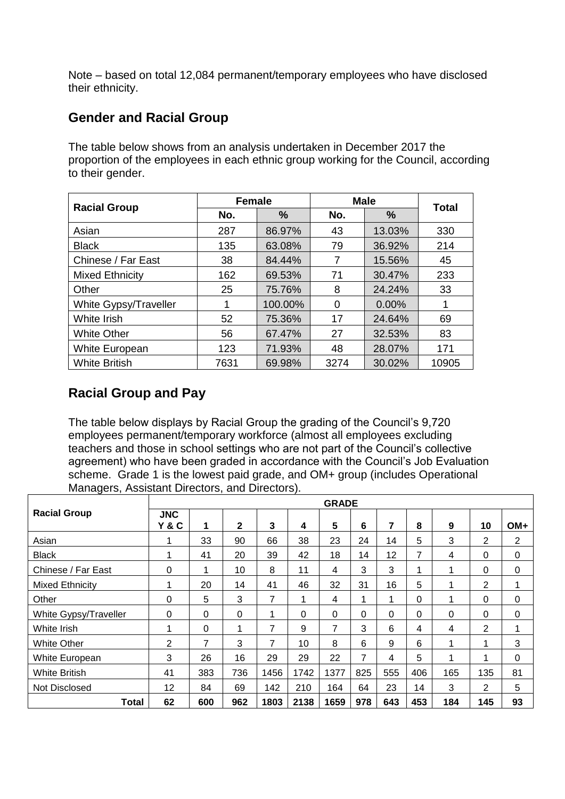Note – based on total 12,084 permanent/temporary employees who have disclosed their ethnicity.

### **Gender and Racial Group**

The table below shows from an analysis undertaken in December 2017 the proportion of the employees in each ethnic group working for the Council, according to their gender.

|                        | <b>Female</b> |         | <b>Male</b> | <b>Total</b> |       |
|------------------------|---------------|---------|-------------|--------------|-------|
| <b>Racial Group</b>    | No.           | %       | No.         | %            |       |
| Asian                  | 287           | 86.97%  | 43          | 13.03%       | 330   |
| <b>Black</b>           | 135           | 63.08%  | 79          | 36.92%       | 214   |
| Chinese / Far East     | 38            | 84.44%  | 7           | 15.56%       | 45    |
| <b>Mixed Ethnicity</b> | 162           | 69.53%  | 71          | 30.47%       | 233   |
| Other                  | 25            | 75.76%  | 8           | 24.24%       | 33    |
| White Gypsy/Traveller  |               | 100.00% | 0           | 0.00%        |       |
| White Irish            | 52            | 75.36%  | 17          | 24.64%       | 69    |
| <b>White Other</b>     | 56            | 67.47%  | 27          | 32.53%       | 83    |
| White European         | 123           | 71.93%  | 48          | 28.07%       | 171   |
| <b>White British</b>   | 7631          | 69.98%  | 3274        | 30.02%       | 10905 |

## **Racial Group and Pay**

The table below displays by Racial Group the grading of the Council's 9,720 employees permanent/temporary workforce (almost all employees excluding teachers and those in school settings who are not part of the Council's collective agreement) who have been graded in accordance with the Council's Job Evaluation scheme. Grade 1 is the lowest paid grade, and OM+ group (includes Operational Managers, Assistant Directors, and Directors).

|                       |                   |     |             |      |              | <b>GRADE</b>   |     |     |          |     |                |          |
|-----------------------|-------------------|-----|-------------|------|--------------|----------------|-----|-----|----------|-----|----------------|----------|
| <b>Racial Group</b>   | <b>JNC</b><br>Y&C | 1   | $\mathbf 2$ | 3    | 4            | 5              | 6   | 7   | 8        | 9   | 10             | OM+      |
| Asian                 |                   | 33  | 90          | 66   | 38           | 23             | 24  | 14  | 5        | 3   | 2              | 2        |
| <b>Black</b>          | 1                 | 41  | 20          | 39   | 42           | 18             | 14  | 12  | 7        | 4   | 0              | $\Omega$ |
| Chinese / Far East    | 0                 | 1   | 10          | 8    | 11           | 4              | 3   | 3   | 4        | 1   | 0              | 0        |
| Mixed Ethnicity       | 1                 | 20  | 14          | 41   | 46           | 32             | 31  | 16  | 5        | 1   | 2              | 1        |
| Other                 | $\Omega$          | 5   | 3           | 7    | 1            | 4              | 1   | 1   | $\Omega$ | 1   | 0              | $\Omega$ |
| White Gypsy/Traveller | 0                 | 0   | 0           | 1    | $\mathbf{0}$ | 0              | 0   | 0   | 0        | 0   | 0              | 0        |
| White Irish           | 4                 | 0   | 4           | 7    | 9            | $\overline{7}$ | 3   | 6   | 4        | 4   | 2              | 1        |
| <b>White Other</b>    | $\overline{2}$    | 7   | 3           | 7    | 10           | 8              | 6   | 9   | 6        | 1   | 1              | 3        |
| White European        | 3                 | 26  | 16          | 29   | 29           | 22             | 7   | 4   | 5        | 1   | 1              | 0        |
| <b>White British</b>  | 41                | 383 | 736         | 1456 | 1742         | 1377           | 825 | 555 | 406      | 165 | 135            | 81       |
| Not Disclosed         | 12                | 84  | 69          | 142  | 210          | 164            | 64  | 23  | 14       | 3   | $\overline{2}$ | 5        |
| Total                 | 62                | 600 | 962         | 1803 | 2138         | 1659           | 978 | 643 | 453      | 184 | 145            | 93       |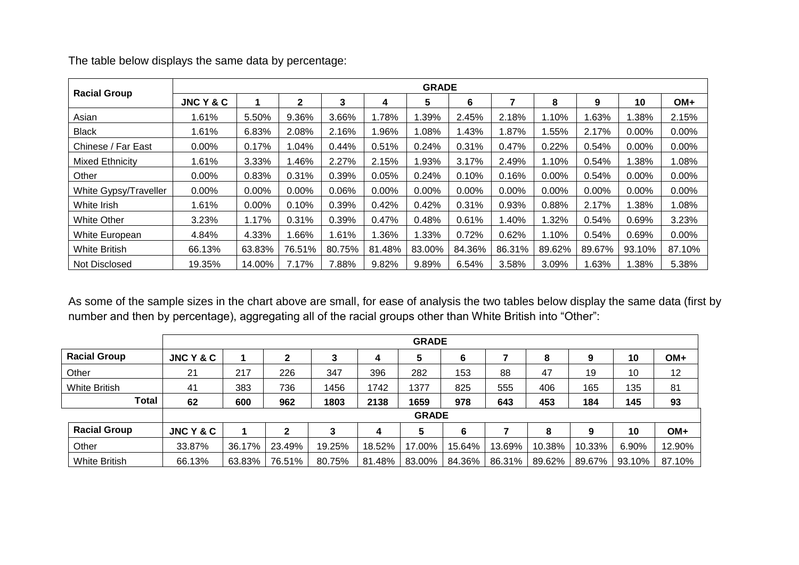| <b>Racial Group</b>    |                      |        |              |        |          | <b>GRADE</b> |          |         |          |          |        |        |
|------------------------|----------------------|--------|--------------|--------|----------|--------------|----------|---------|----------|----------|--------|--------|
|                        | <b>JNC Y &amp; C</b> |        | $\mathbf{2}$ | 3      | 4        | 5            | 6        |         | 8        | 9        | 10     | $OM+$  |
| Asian                  | 1.61%                | 5.50%  | 9.36%        | 3.66%  | 1.78%    | 1.39%        | 2.45%    | 2.18%   | 1.10%    | 1.63%    | .38%   | 2.15%  |
| <b>Black</b>           | 1.61%                | 6.83%  | 2.08%        | 2.16%  | 1.96%    | 1.08%        | 1.43%    | $.87\%$ | .55%     | 2.17%    | 0.00%  | 0.00%  |
| Chinese / Far East     | $0.00\%$             | 0.17%  | 1.04%        | 0.44%  | 0.51%    | 0.24%        | 0.31%    | 0.47%   | 0.22%    | 0.54%    | 0.00%  | 0.00%  |
| <b>Mixed Ethnicity</b> | 1.61%                | 3.33%  | 1.46%        | 2.27%  | 2.15%    | 1.93%        | 3.17%    | 2.49%   | 1.10%    | 0.54%    | .38%   | 1.08%  |
| Other                  | $0.00\%$             | 0.83%  | 0.31%        | 0.39%  | 0.05%    | 0.24%        | 0.10%    | 0.16%   | 0.00%    | 0.54%    | 0.00%  | 0.00%  |
| White Gypsy/Traveller  | 0.00%                | 0.00%  | $0.00\%$     | 0.06%  | $0.00\%$ | 0.00%        | $0.00\%$ | 0.00%   | $0.00\%$ | $0.00\%$ | 0.00%  | 0.00%  |
| White Irish            | 1.61%                | 0.00%  | 0.10%        | 0.39%  | 0.42%    | 0.42%        | 0.31%    | 0.93%   | 0.88%    | 2.17%    | 1.38%  | 1.08%  |
| <b>White Other</b>     | 3.23%                | 1.17%  | 0.31%        | 0.39%  | 0.47%    | 0.48%        | 0.61%    | l.40%   | 1.32%    | 0.54%    | 0.69%  | 3.23%  |
| White European         | 4.84%                | 4.33%  | 1.66%        | 1.61%  | 1.36%    | 1.33%        | 0.72%    | 0.62%   | 1.10%    | 0.54%    | 0.69%  | 0.00%  |
| <b>White British</b>   | 66.13%               | 63.83% | 76.51%       | 80.75% | 81.48%   | 83.00%       | 84.36%   | 86.31%  | 89.62%   | 89.67%   | 93.10% | 87.10% |
| Not Disclosed          | 19.35%               | 14.00% | 7.17%        | 7.88%  | 9.82%    | 9.89%        | 6.54%    | 3.58%   | 3.09%    | 1.63%    | .38%   | 5.38%  |

The table below displays the same data by percentage:

As some of the sample sizes in the chart above are small, for ease of analysis the two tables below display the same data (first by number and then by percentage), aggregating all of the racial groups other than White British into "Other":

|                      |           | <b>GRADE</b> |        |        |        |              |        |        |        |        |        |        |
|----------------------|-----------|--------------|--------|--------|--------|--------------|--------|--------|--------|--------|--------|--------|
| <b>Racial Group</b>  | JNC Y & C |              | 2      | 3      | 4      | 5            | 6      |        | 8      | 9      | 10     | OM+    |
| Other                | 21        | 217          | 226    | 347    | 396    | 282          | 153    | 88     | 47     | 19     | 10     | 12     |
| <b>White British</b> | 41        | 383          | 736    | 1456   | 1742   | 1377         | 825    | 555    | 406    | 165    | 135    | 81     |
| Total                | 62        | 600          | 962    | 1803   | 2138   | 1659         | 978    | 643    | 453    | 184    | 145    | 93     |
|                      |           |              |        |        |        | <b>GRADE</b> |        |        |        |        |        |        |
| <b>Racial Group</b>  | JNC Y & C |              | 2      |        | 4      | 5            | 6      |        | 8      | 9      | 10     | $OM+$  |
| Other                | 33.87%    | 36.17%       | 23.49% | 19.25% | 18.52% | 17.00%       | 15.64% | 13.69% | 10.38% | 10.33% | 6.90%  | 12.90% |
| <b>White British</b> | 66.13%    | 63.83%       | 76.51% | 80.75% | 81.48% | 83.00%       | 84.36% | 86.31% | 89.62% | 89.67% | 93.10% | 87.10% |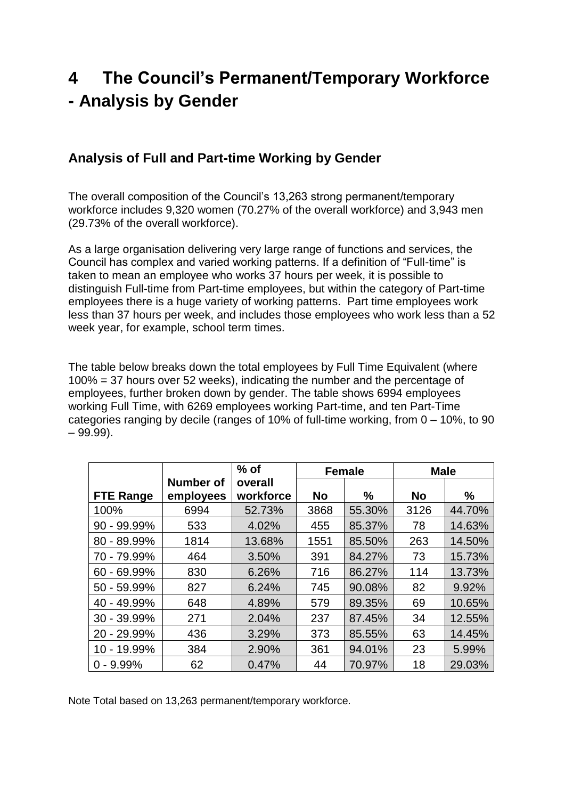# **4 The Council's Permanent/Temporary Workforce - Analysis by Gender**

### **Analysis of Full and Part-time Working by Gender**

The overall composition of the Council's 13,263 strong permanent/temporary workforce includes 9,320 women (70.27% of the overall workforce) and 3,943 men (29.73% of the overall workforce).

As a large organisation delivering very large range of functions and services, the Council has complex and varied working patterns. If a definition of "Full-time" is taken to mean an employee who works 37 hours per week, it is possible to distinguish Full-time from Part-time employees, but within the category of Part-time employees there is a huge variety of working patterns. Part time employees work less than 37 hours per week, and includes those employees who work less than a 52 week year, for example, school term times.

The table below breaks down the total employees by Full Time Equivalent (where 100% = 37 hours over 52 weeks), indicating the number and the percentage of employees, further broken down by gender. The table shows 6994 employees working Full Time, with 6269 employees working Part-time, and ten Part-Time categories ranging by decile (ranges of 10% of full-time working, from 0 – 10%, to 90  $-99.99$ ).

|                  |           | $%$ of    | <b>Female</b> |        | <b>Male</b> |        |
|------------------|-----------|-----------|---------------|--------|-------------|--------|
|                  | Number of | overall   |               |        |             |        |
| <b>FTE Range</b> | employees | workforce | <b>No</b>     | %      | <b>No</b>   | $\%$   |
| 100%             | 6994      | 52.73%    | 3868          | 55.30% | 3126        | 44.70% |
| 90 - 99.99%      | 533       | 4.02%     | 455           | 85.37% | 78          | 14.63% |
| 80 - 89.99%      | 1814      | 13.68%    | 1551          | 85.50% | 263         | 14.50% |
| 70 - 79.99%      | 464       | 3.50%     | 391           | 84.27% | 73          | 15.73% |
| $60 - 69.99\%$   | 830       | 6.26%     | 716           | 86.27% | 114         | 13.73% |
| 50 - 59.99%      | 827       | 6.24%     | 745           | 90.08% | 82          | 9.92%  |
| 40 - 49.99%      | 648       | 4.89%     | 579           | 89.35% | 69          | 10.65% |
| 30 - 39.99%      | 271       | 2.04%     | 237           | 87.45% | 34          | 12.55% |
| 20 - 29.99%      | 436       | 3.29%     | 373           | 85.55% | 63          | 14.45% |
| 10 - 19.99%      | 384       | 2.90%     | 361           | 94.01% | 23          | 5.99%  |
| $-9.99%$         | 62        | 0.47%     | 44            | 70.97% | 18          | 29.03% |

Note Total based on 13,263 permanent/temporary workforce.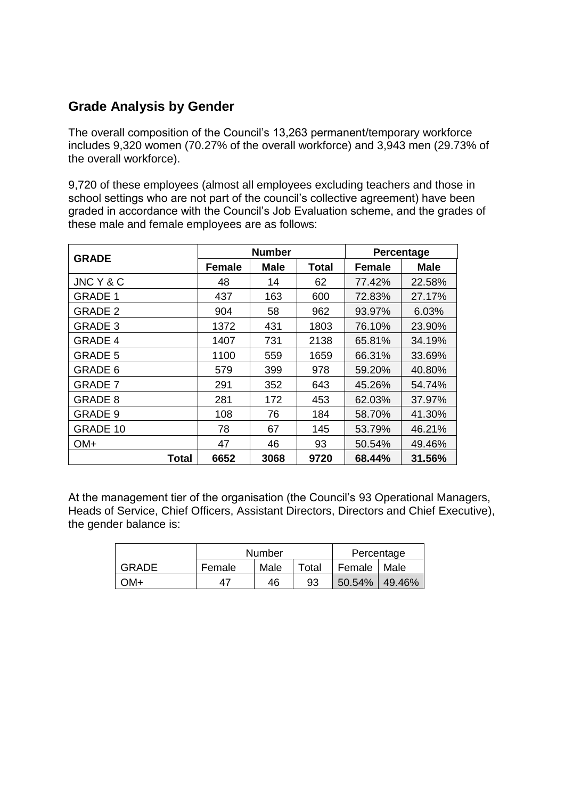## **Grade Analysis by Gender**

The overall composition of the Council's 13,263 permanent/temporary workforce includes 9,320 women (70.27% of the overall workforce) and 3,943 men (29.73% of the overall workforce).

9,720 of these employees (almost all employees excluding teachers and those in school settings who are not part of the council's collective agreement) have been graded in accordance with the Council's Job Evaluation scheme, and the grades of these male and female employees are as follows:

| <b>GRADE</b>   |               | <b>Number</b> | Percentage   |               |             |
|----------------|---------------|---------------|--------------|---------------|-------------|
|                | <b>Female</b> | <b>Male</b>   | <b>Total</b> | <b>Female</b> | <b>Male</b> |
| JNC Y & C      | 48            | 14            | 62           | 77.42%        | 22.58%      |
| <b>GRADE 1</b> | 437           | 163           | 600          | 72.83%        | 27.17%      |
| <b>GRADE 2</b> | 904           | 58            | 962          | 93.97%        | 6.03%       |
| <b>GRADE 3</b> | 1372          | 431           | 1803         | 76.10%        | 23.90%      |
| <b>GRADE 4</b> | 1407          | 731           | 2138         | 65.81%        | 34.19%      |
| <b>GRADE 5</b> | 1100          | 559           | 1659         | 66.31%        | 33.69%      |
| GRADE 6        | 579           | 399           | 978          | 59.20%        | 40.80%      |
| <b>GRADE 7</b> | 291           | 352           | 643          | 45.26%        | 54.74%      |
| <b>GRADE 8</b> | 281           | 172           | 453          | 62.03%        | 37.97%      |
| GRADE 9        | 108           | 76            | 184          | 58.70%        | 41.30%      |
| GRADE 10       | 78            | 67            | 145          | 53.79%        | 46.21%      |
| $OM+$          | 47            | 46            | 93           | 50.54%        | 49.46%      |
| <b>Total</b>   | 6652          | 3068          | 9720         | 68.44%        | 31.56%      |

At the management tier of the organisation (the Council's 93 Operational Managers, Heads of Service, Chief Officers, Assistant Directors, Directors and Chief Executive), the gender balance is:

|       |        | Number |               | Percentage    |  |
|-------|--------|--------|---------------|---------------|--|
| GRADE | Female | Male   | Female   Male |               |  |
| วM+   | 47     | 46     | 93            | 50.54% 49.46% |  |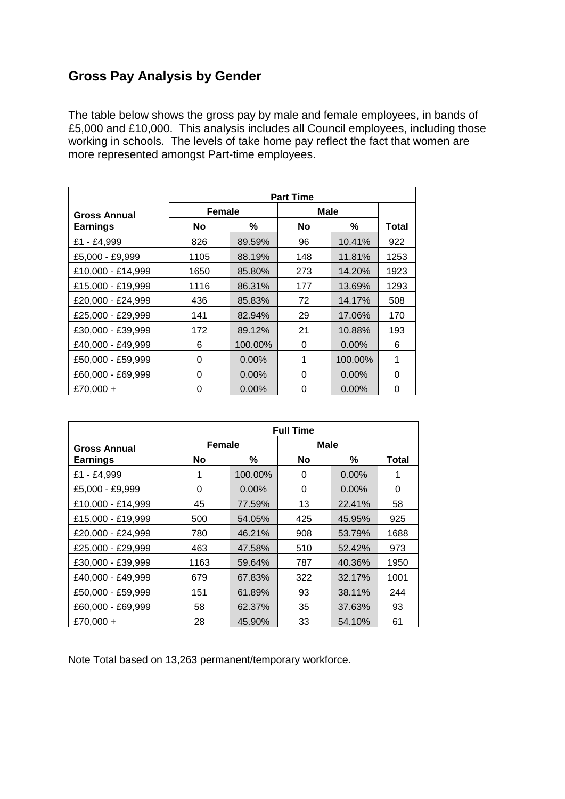## **Gross Pay Analysis by Gender**

The table below shows the gross pay by male and female employees, in bands of £5,000 and £10,000. This analysis includes all Council employees, including those working in schools. The levels of take home pay reflect the fact that women are more represented amongst Part-time employees.

|                     | <b>Part Time</b> |          |             |          |       |  |  |  |
|---------------------|------------------|----------|-------------|----------|-------|--|--|--|
| <b>Gross Annual</b> | <b>Female</b>    |          | <b>Male</b> |          |       |  |  |  |
| <b>Earnings</b>     | No.              | ℅        | No          | ℅        | Total |  |  |  |
| £1 - £4,999         | 826              | 89.59%   | 96          | 10.41%   | 922   |  |  |  |
| £5,000 - £9,999     | 1105             | 88.19%   | 148         | 11.81%   | 1253  |  |  |  |
| £10,000 - £14,999   | 1650             | 85.80%   | 273         | 14.20%   | 1923  |  |  |  |
| £15,000 - £19,999   | 1116             | 86.31%   | 177         | 13.69%   | 1293  |  |  |  |
| £20,000 - £24,999   | 436              | 85.83%   | 72          | 14.17%   | 508   |  |  |  |
| £25,000 - £29,999   | 141              | 82.94%   | 29          | 17.06%   | 170   |  |  |  |
| £30,000 - £39,999   | 172              | 89.12%   | 21          | 10.88%   | 193   |  |  |  |
| £40,000 - £49,999   | 6                | 100.00%  | 0           | $0.00\%$ | 6     |  |  |  |
| £50,000 - £59,999   | 0                | $0.00\%$ | 1           | 100.00%  | 1     |  |  |  |
| £60,000 - £69,999   | 0                | $0.00\%$ | 0           | $0.00\%$ | 0     |  |  |  |
| £70,000 +           | 0                | $0.00\%$ | 0           | $0.00\%$ | 0     |  |  |  |

|                     | <b>Full Time</b> |          |           |             |       |  |  |  |
|---------------------|------------------|----------|-----------|-------------|-------|--|--|--|
| <b>Gross Annual</b> | <b>Female</b>    |          |           | <b>Male</b> |       |  |  |  |
| <b>Earnings</b>     | No.              | ℅        | <b>No</b> | %           | Total |  |  |  |
| £1 - £4,999         |                  | 100.00%  | 0         | $0.00\%$    |       |  |  |  |
| £5,000 - £9,999     | 0                | $0.00\%$ | 0         | $0.00\%$    | 0     |  |  |  |
| £10,000 - £14,999   | 45               | 77.59%   | 13        | 22.41%      | 58    |  |  |  |
| £15,000 - £19,999   | 500              | 54.05%   | 425       | 45.95%      | 925   |  |  |  |
| £20,000 - £24,999   | 780              | 46.21%   | 908       | 53.79%      | 1688  |  |  |  |
| £25,000 - £29,999   | 463              | 47.58%   | 510       | 52.42%      | 973   |  |  |  |
| £30,000 - £39,999   | 1163             | 59.64%   | 787       | 40.36%      | 1950  |  |  |  |
| £40,000 - £49,999   | 679              | 67.83%   | 322       | 32.17%      | 1001  |  |  |  |
| £50,000 - £59,999   | 151              | 61.89%   | 93        | 38.11%      | 244   |  |  |  |
| £60,000 - £69,999   | 58               | 62.37%   | 35        | 37.63%      | 93    |  |  |  |
| £70,000 +           | 28               | 45.90%   | 33        | 54.10%      | 61    |  |  |  |

Note Total based on 13,263 permanent/temporary workforce.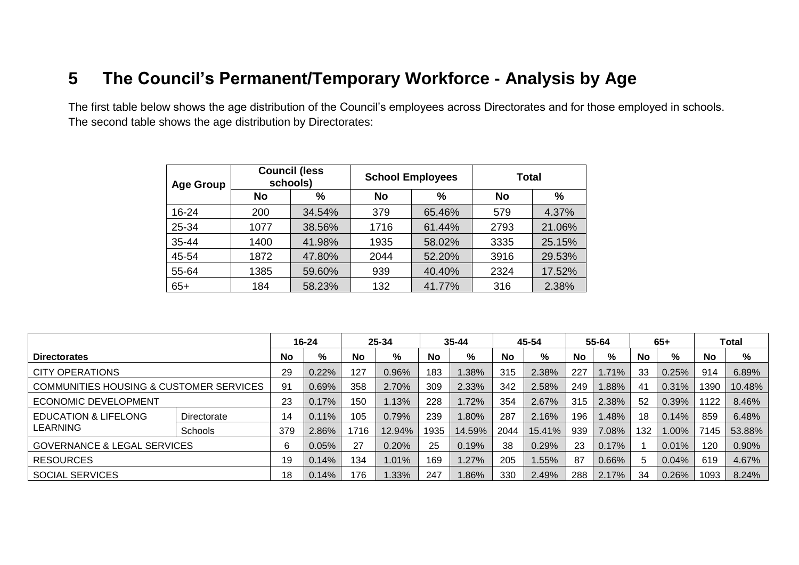## **5 The Council's Permanent/Temporary Workforce - Analysis by Age**

The first table below shows the age distribution of the Council's employees across Directorates and for those employed in schools. The second table shows the age distribution by Directorates:

| <b>Age Group</b> |      | <b>Council (less</b><br>schools) | <b>School Employees</b> |        | <b>Total</b> |        |  |
|------------------|------|----------------------------------|-------------------------|--------|--------------|--------|--|
|                  | No   | %                                | No                      | %      | <b>No</b>    | $\%$   |  |
| 16-24            | 200  | 34.54%                           | 379                     | 65.46% | 579          | 4.37%  |  |
| 25-34            | 1077 | 38.56%                           | 1716                    | 61.44% | 2793         | 21.06% |  |
| 35-44            | 1400 | 41.98%                           | 1935                    | 58.02% | 3335         | 25.15% |  |
| 45-54            | 1872 | 47.80%                           | 2044                    | 52.20% | 3916         | 29.53% |  |
| 55-64            | 1385 | 59.60%                           | 939                     | 40.40% | 2324         | 17.52% |  |
| $65+$            | 184  | 58.23%                           | 132                     | 41.77% | 316          | 2.38%  |  |

|                                         |                | 25-34<br>$16 - 24$ |       |           | $35 - 44$ |      | 45-54  |           | 55-64  |           | $65+$ |     | Total |           |        |
|-----------------------------------------|----------------|--------------------|-------|-----------|-----------|------|--------|-----------|--------|-----------|-------|-----|-------|-----------|--------|
| <b>Directorates</b>                     |                | No.                | %     | <b>No</b> | %         | No   | %      | <b>No</b> | %      | <b>No</b> | %     | No  | %     | <b>No</b> | %      |
| <b>CITY OPERATIONS</b>                  |                | 29                 | 0.22% | 127       | 0.96%     | 183  | .38%   | 315       | 2.38%  | 227       | 1.71% | 33  | 0.25% | 914       | 6.89%  |
| COMMUNITIES HOUSING & CUSTOMER SERVICES |                | 91                 | 0.69% | 358       | 2.70%     | 309  | 2.33%  | 342       | 2.58%  | 249       | 1.88% | -41 | 0.31% | 1390      | 10.48% |
| <b>ECONOMIC DEVELOPMENT</b>             |                | 23                 | 0.17% | 150       | 1.13%     | 228  | .72%   | 354       | 2.67%  | 315       | 2.38% | 52  | 0.39% | 1122      | 8.46%  |
| EDUCATION & LIFELONG                    | Directorate    | 14                 | 0.11% | 105       | 0.79%     | 239  | .80%   | 287       | 2.16%  | 196       | 1.48% | 18  | 0.14% | 859       | 6.48%  |
| <b>LEARNING</b>                         | <b>Schools</b> | 379                | 2.86% | 716       | 12.94%    | 1935 | 14.59% | 2044      | 15.41% | 939       | 7.08% | 132 | 1.00% | 7145      | 53.88% |
| <b>GOVERNANCE &amp; LEGAL SERVICES</b>  |                | 6                  | 0.05% | 27        | 0.20%     | 25   | 0.19%  | 38        | 0.29%  | 23        | 0.17% |     | 0.01% | 120       | 0.90%  |
| <b>RESOURCES</b>                        |                | 19                 | 0.14% | 134       | 1.01%     | 169  | .27%   | 205       | 1.55%  | 87        | 0.66% |     | 0.04% | 619       | 4.67%  |
| <b>SOCIAL SERVICES</b>                  |                | 18                 | 0.14% | 176       | 1.33%     | 247  | .86%   | 330       | 2.49%  | 288       | 2.17% | -34 | 0.26% | 1093      | 8.24%  |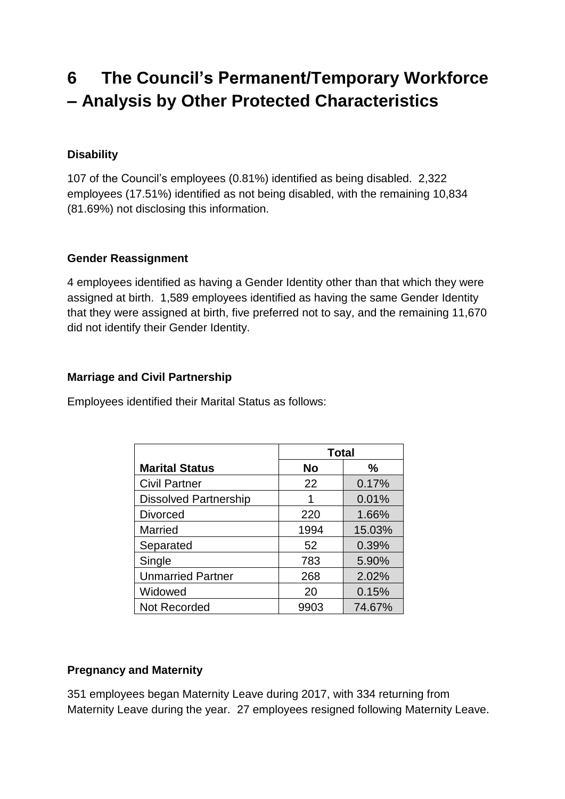# **6 The Council's Permanent/Temporary Workforce – Analysis by Other Protected Characteristics**

### **Disability**

107 of the Council's employees (0.81%) identified as being disabled. 2,322 employees (17.51%) identified as not being disabled, with the remaining 10,834 (81.69%) not disclosing this information.

#### **Gender Reassignment**

4 employees identified as having a Gender Identity other than that which they were assigned at birth. 1,589 employees identified as having the same Gender Identity that they were assigned at birth, five preferred not to say, and the remaining 11,670 did not identify their Gender Identity.

### **Marriage and Civil Partnership**

Employees identified their Marital Status as follows:

|                              | <b>Total</b> |        |  |  |
|------------------------------|--------------|--------|--|--|
| <b>Marital Status</b>        | <b>No</b>    | ℅      |  |  |
| <b>Civil Partner</b>         | 22           | 0.17%  |  |  |
| <b>Dissolved Partnership</b> | 1            | 0.01%  |  |  |
| <b>Divorced</b>              | 220          | 1.66%  |  |  |
| <b>Married</b>               | 1994         | 15.03% |  |  |
| Separated                    | 52           | 0.39%  |  |  |
| Single                       | 783          | 5.90%  |  |  |
| <b>Unmarried Partner</b>     | 268          | 2.02%  |  |  |
| Widowed                      | 20           | 0.15%  |  |  |
| <b>Not Recorded</b>          | 9903         | 74.67% |  |  |

### **Pregnancy and Maternity**

351 employees began Maternity Leave during 2017, with 334 returning from Maternity Leave during the year. 27 employees resigned following Maternity Leave.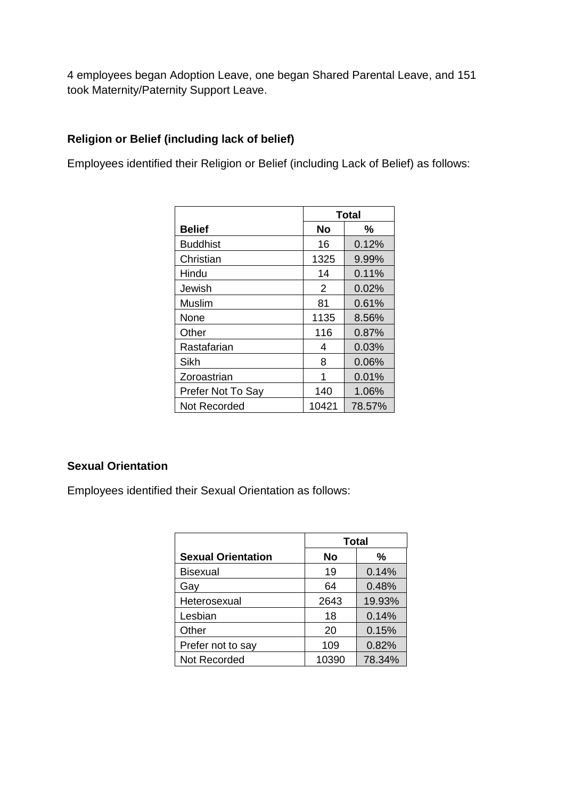4 employees began Adoption Leave, one began Shared Parental Leave, and 151 took Maternity/Paternity Support Leave.

### **Religion or Belief (including lack of belief)**

Employees identified their Religion or Belief (including Lack of Belief) as follows:

|                   | <b>Total</b> |        |  |  |
|-------------------|--------------|--------|--|--|
| <b>Belief</b>     | No           | %      |  |  |
| <b>Buddhist</b>   | 16           | 0.12%  |  |  |
| Christian         | 1325         | 9.99%  |  |  |
| Hindu             | 14           | 0.11%  |  |  |
| Jewish            | 2            | 0.02%  |  |  |
| Muslim            | 81           | 0.61%  |  |  |
| None              | 1135         | 8.56%  |  |  |
| Other             | 116          | 0.87%  |  |  |
| Rastafarian       | 4            | 0.03%  |  |  |
| Sikh              | 8            | 0.06%  |  |  |
| Zoroastrian       | 1            | 0.01%  |  |  |
| Prefer Not To Say | 140          | 1.06%  |  |  |
| Not Recorded      | 10421        | 78.57% |  |  |

### **Sexual Orientation**

Employees identified their Sexual Orientation as follows:

|                           | <b>Total</b> |        |  |  |
|---------------------------|--------------|--------|--|--|
| <b>Sexual Orientation</b> | No           | ℅      |  |  |
| <b>Bisexual</b>           | 19           | 0.14%  |  |  |
| Gay                       | 64           | 0.48%  |  |  |
| Heterosexual              | 2643         | 19.93% |  |  |
| Lesbian                   | 18           | 0.14%  |  |  |
| Other                     | 20           | 0.15%  |  |  |
| Prefer not to say         | 109          | 0.82%  |  |  |
| Not Recorded              | 10390        | 78.34% |  |  |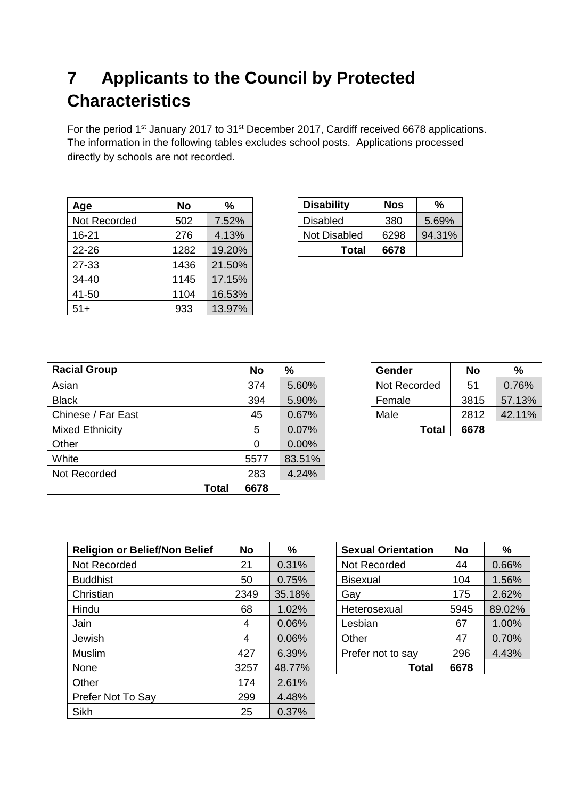# **7 Applicants to the Council by Protected Characteristics**

For the period 1<sup>st</sup> January 2017 to 31<sup>st</sup> December 2017, Cardiff received 6678 applications. The information in the following tables excludes school posts. Applications processed directly by schools are not recorded.

| Age          | <b>No</b> | %      | <b>Disability</b>   | <b>Nos</b> | %      |
|--------------|-----------|--------|---------------------|------------|--------|
| Not Recorded | 502       | 7.52%  | <b>Disabled</b>     | 380        | 5.69%  |
| $16 - 21$    | 276       | 4.13%  | <b>Not Disabled</b> | 6298       | 94.31% |
| 22-26        | 1282      | 19.20% | <b>Total</b>        | 6678       |        |
| 27-33        | 1436      | 21.50% |                     |            |        |
| 34-40        | 1145      | 17.15% |                     |            |        |
| 41-50        | 1104      | 16.53% |                     |            |        |
| $51+$        | 933       | 13.97% |                     |            |        |

| <b>Disability</b> | <b>Nos</b> | %      |
|-------------------|------------|--------|
| <b>Disabled</b>   | 380        | 5.69%  |
| Not Disabled      | 6298       | 94.31% |
| Total             | 6678       |        |

| <b>Racial Group</b>    | <b>No</b> | %      | Gender       | <b>No</b> | %      |
|------------------------|-----------|--------|--------------|-----------|--------|
| Asian                  | 374       | 5.60%  | Not Recorded | 51        | 0.76%  |
| <b>Black</b>           | 394       | 5.90%  | Female       | 3815      | 57.13% |
| Chinese / Far East     | 45        | 0.67%  | Male         | 2812      | 42.11% |
| <b>Mixed Ethnicity</b> | 5         | 0.07%  | <b>Total</b> | 6678      |        |
| Other                  | 0         | 0.00%  |              |           |        |
| White                  | 5577      | 83.51% |              |           |        |
| Not Recorded           | 283       | 4.24%  |              |           |        |
| Total                  | 6678      |        |              |           |        |

| Gender       | No   | %      |
|--------------|------|--------|
| Not Recorded | 51   | 0.76%  |
| Female       | 3815 | 57.13% |
| Male         | 2812 | 42.11% |
| Total        | 6678 |        |

| <b>Religion or Belief/Non Belief</b> | <b>No</b> | %      | <b>Sexual Orientation</b> | <b>No</b> | %      |
|--------------------------------------|-----------|--------|---------------------------|-----------|--------|
| Not Recorded                         | 21        | 0.31%  | Not Recorded              | 44        | 0.66%  |
| <b>Buddhist</b>                      | 50        | 0.75%  | <b>Bisexual</b>           | 104       | 1.56%  |
| Christian                            | 2349      | 35.18% | Gay                       | 175       | 2.62%  |
| Hindu                                | 68        | 1.02%  | Heterosexual              | 5945      | 89.02% |
| Jain                                 | 4         | 0.06%  | Lesbian                   | 67        | 1.00%  |
| Jewish                               | 4         | 0.06%  | Other                     | 47        | 0.70%  |
| <b>Muslim</b>                        | 427       | 6.39%  | Prefer not to say         | 296       | 4.43%  |
| None                                 | 3257      | 48.77% | <b>Total</b>              | 6678      |        |
| Other                                | 174       | 2.61%  |                           |           |        |
| Prefer Not To Say                    | 299       | 4.48%  |                           |           |        |
| <b>Sikh</b>                          | 25        | 0.37%  |                           |           |        |

| <b>Sexual Orientation</b> | No   | %      |
|---------------------------|------|--------|
| Not Recorded              | 44   | 0.66%  |
| <b>Bisexual</b>           | 104  | 1.56%  |
| Gay                       | 175  | 2.62%  |
| Heterosexual              | 5945 | 89.02% |
| Lesbian                   | 67   | 1.00%  |
| Other                     | 47   | 0.70%  |
| Prefer not to say         | 296  | 4.43%  |
| Total                     | 6678 |        |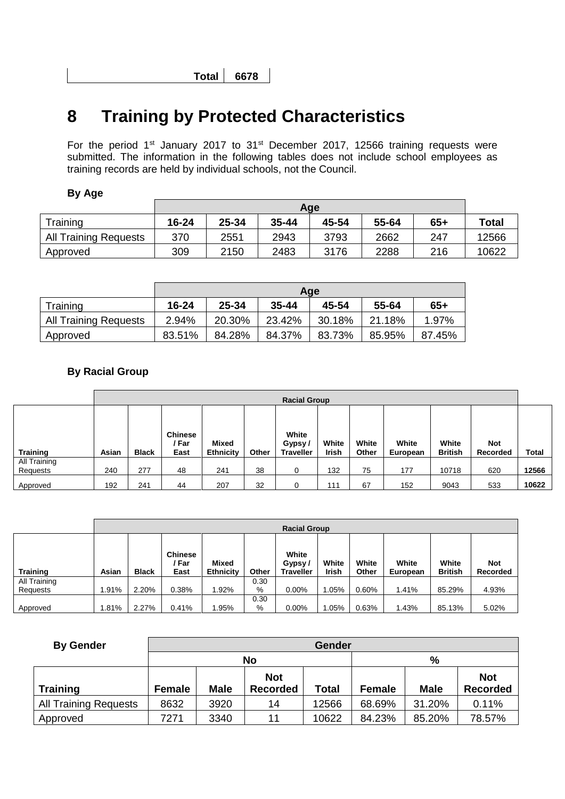**Total 6678**

# **8 Training by Protected Characteristics**

For the period 1<sup>st</sup> January 2017 to 31<sup>st</sup> December 2017, 12566 training requests were submitted. The information in the following tables does not include school employees as training records are held by individual schools, not the Council.

#### **By Age**

|                              |           | Age   |           |       |       |       |              |  |  |  |  |  |  |
|------------------------------|-----------|-------|-----------|-------|-------|-------|--------------|--|--|--|--|--|--|
| Training                     | $16 - 24$ | 25-34 | $35 - 44$ | 45-54 | 55-64 | $65+$ | <b>Total</b> |  |  |  |  |  |  |
| <b>All Training Requests</b> | 370       | 2551  | 2943      | 3793  | 2662  | 247   | 12566        |  |  |  |  |  |  |
| Approved                     | 309       | 2150  | 2483      | 3176  | 2288  | 216   | 10622        |  |  |  |  |  |  |

|                              | Age    |        |           |        |        |        |  |  |  |  |  |
|------------------------------|--------|--------|-----------|--------|--------|--------|--|--|--|--|--|
| Training                     | 16-24  | 25-34  | $35 - 44$ | 45-54  | 55-64  | $65+$  |  |  |  |  |  |
| <b>All Training Requests</b> | 2.94%  | 20.30% | 23.42%    | 30.18% | 21.18% | 1.97%  |  |  |  |  |  |
| Approved                     | 83.51% | 84.28% | 84.37%    | 83.73% | 85.95% | 87.45% |  |  |  |  |  |

#### **By Racial Group**

|                          | <b>Racial Group</b> |              |                                 |                                  |       |                                     |                       |                |                   |                         |                        |              |
|--------------------------|---------------------|--------------|---------------------------------|----------------------------------|-------|-------------------------------------|-----------------------|----------------|-------------------|-------------------------|------------------------|--------------|
| <b>Training</b>          | Asian               | <b>Black</b> | <b>Chinese</b><br>′ Far<br>East | <b>Mixed</b><br><b>Ethnicity</b> | Other | White<br>Gypsy/<br><b>Traveller</b> | White<br><b>Irish</b> | White<br>Other | White<br>European | White<br><b>British</b> | <b>Not</b><br>Recorded | <b>Total</b> |
| All Training<br>Requests | 240                 | 277          | 48                              | 241                              | 38    | 0                                   | 132                   | 75             | 177               | 10718                   | 620                    | 12566        |
| Approved                 | 192                 | 241          | 44                              | 207                              | 32    | 0                                   | 111                   | 67             | 152               | 9043                    | 533                    | 10622        |

|                 |             | <b>Racial Group</b> |                                 |                           |       |                                     |                       |                |                   |                         |                        |  |  |
|-----------------|-------------|---------------------|---------------------------------|---------------------------|-------|-------------------------------------|-----------------------|----------------|-------------------|-------------------------|------------------------|--|--|
| <b>Training</b> | Asian       | <b>Black</b>        | <b>Chinese</b><br>/ Far<br>East | Mixed<br><b>Ethnicity</b> | Other | White<br>Gypsy/<br><b>Traveller</b> | White<br><b>Irish</b> | White<br>Other | White<br>European | White<br><b>British</b> | <b>Not</b><br>Recorded |  |  |
| All Training    |             |                     |                                 |                           | 0.30  |                                     |                       |                |                   |                         |                        |  |  |
| Requests        | <b>.91%</b> | 2.20%               | 0.38%                           | 1.92%                     | %     | $0.00\%$                            | 1.05%                 | 0.60%          | 1.41%             | 85.29%                  | 4.93%                  |  |  |
|                 |             |                     |                                 |                           | 0.30  |                                     |                       |                |                   |                         |                        |  |  |
| Approved        | .81%        | 2.27%               | 0.41%                           | l.95%                     | %     | $0.00\%$                            | .05%                  | 0.63%          | 1.43%             | 85.13%                  | 5.02%                  |  |  |

| <b>By Gender</b>             |               |             |                               | <b>Gender</b> |             |                               |        |  |  |  |
|------------------------------|---------------|-------------|-------------------------------|---------------|-------------|-------------------------------|--------|--|--|--|
|                              | %<br>No       |             |                               |               |             |                               |        |  |  |  |
| <b>Training</b>              | <b>Female</b> | <b>Male</b> | <b>Not</b><br><b>Recorded</b> | <b>Female</b> | <b>Male</b> | <b>Not</b><br><b>Recorded</b> |        |  |  |  |
|                              |               |             |                               | Total         |             |                               |        |  |  |  |
| <b>All Training Requests</b> | 8632          | 3920        | 14                            | 12566         | 68.69%      | 31.20%                        | 0.11%  |  |  |  |
| Approved                     | 7271          | 3340        | 11                            | 10622         | 84.23%      | 85.20%                        | 78.57% |  |  |  |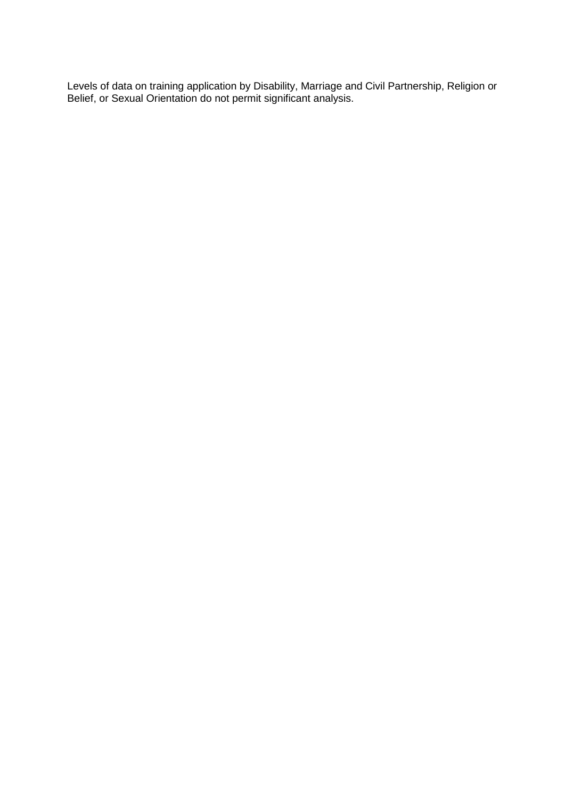Levels of data on training application by Disability, Marriage and Civil Partnership, Religion or Belief, or Sexual Orientation do not permit significant analysis.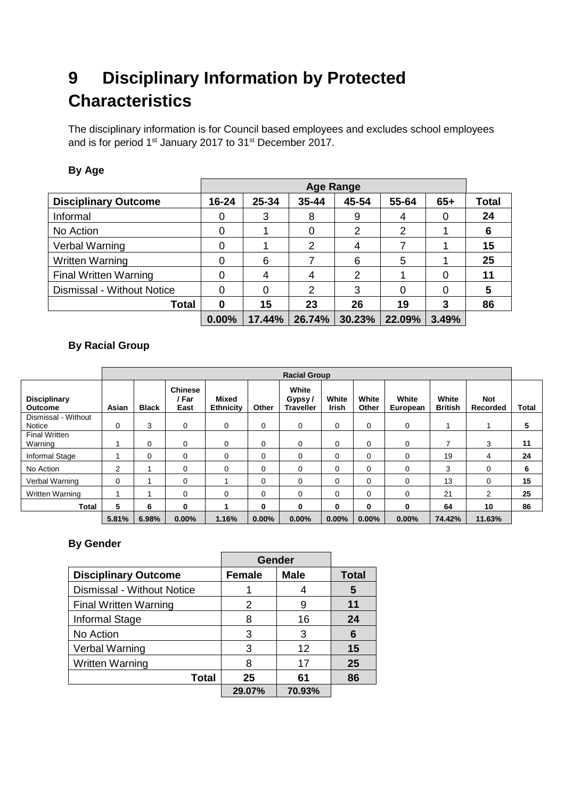# **9 Disciplinary Information by Protected Characteristics**

The disciplinary information is for Council based employees and excludes school employees and is for period 1<sup>st</sup> January 2017 to 31<sup>st</sup> December 2017.

#### **By Age**

|                              |           |        | <b>Age Range</b> |        |        |       |              |
|------------------------------|-----------|--------|------------------|--------|--------|-------|--------------|
| <b>Disciplinary Outcome</b>  | $16 - 24$ | 25-34  | $35 - 44$        | 45-54  | 55-64  | $65+$ | <b>Total</b> |
| Informal                     | 0         | 3      | 8                | 9      | 4      | 0     | 24           |
| No Action                    | 0         |        | 0                | 2      | າ      |       | 6            |
| Verbal Warning               | 0         |        | $\overline{2}$   | 4      |        |       | 15           |
| <b>Written Warning</b>       | 0         | 6      |                  | 6      | 5      |       | 25           |
| <b>Final Written Warning</b> | 0         | 4      | 4                | 2      |        | 0     |              |
| Dismissal - Without Notice   | ი         | 0      | 2                | 3      |        | 0     |              |
| Total                        | 0         | 15     | 23               | 26     | 19     | 3     | 86           |
|                              | $0.00\%$  | 17.44% | 26.74%           | 30.23% | 22.09% | 3.49% |              |

### **By Racial Group**

|                                       |                | <b>Racial Group</b> |                                 |                           |          |                                     |                       |                |                   |                         |                        |       |
|---------------------------------------|----------------|---------------------|---------------------------------|---------------------------|----------|-------------------------------------|-----------------------|----------------|-------------------|-------------------------|------------------------|-------|
| <b>Disciplinary</b><br><b>Outcome</b> | Asian          | <b>Black</b>        | <b>Chinese</b><br>' Far<br>East | Mixed<br><b>Ethnicity</b> | Other    | White<br>Gypsy/<br><b>Traveller</b> | White<br><b>Irish</b> | White<br>Other | White<br>European | White<br><b>British</b> | <b>Not</b><br>Recorded | Total |
| Dismissal - Without<br>Notice         | 0              | 3                   | 0                               | 0                         | 0        | 0                                   | 0                     | 0              | 0                 |                         |                        | 5     |
| <b>Final Written</b><br>Warning       |                | $\mathbf 0$         | $\Omega$                        | 0                         | 0        | 0                                   | $\Omega$              | 0              | $\Omega$          | 7                       | 3                      | 11    |
| Informal Stage                        |                | $\mathbf 0$         | $\Omega$                        | 0                         | $\Omega$ | 0                                   | $\Omega$              | 0              | 0                 | 19                      | 4                      | 24    |
| No Action                             | $\overline{2}$ |                     | 0                               | $\mathbf 0$               | 0        | 0                                   | $\Omega$              | 0              | 0                 | 3                       | 0                      | 6     |
| Verbal Warning                        | $\mathbf 0$    |                     | $\Omega$                        |                           | 0        | 0                                   | $\Omega$              | 0              | 0                 | 13                      | 0                      | 15    |
| <b>Written Warning</b>                |                |                     | $\Omega$                        | 0                         | 0        | 0                                   | $\Omega$              | 0              | 0                 | 21                      | 2                      | 25    |
| Total                                 | 5              | 6                   | 0                               |                           | 0        | 0                                   | 0                     | 0              | 0                 | 64                      | 10                     | 86    |
|                                       | 5.81%          | 6.98%               | $0.00\%$                        | 1.16%                     | $0.00\%$ | $0.00\%$                            | 0.00%                 | 0.00%          | 0.00%             | 74.42%                  | 11.63%                 |       |

#### **By Gender**

|                              | <b>Gender</b> |             |              |
|------------------------------|---------------|-------------|--------------|
| <b>Disciplinary Outcome</b>  | <b>Female</b> | <b>Male</b> | <b>Total</b> |
| Dismissal - Without Notice   |               |             | 5            |
| <b>Final Written Warning</b> | 2             | 9           | 11           |
| Informal Stage               | 8             | 16          | 24           |
| No Action                    | 3             | 3           | 6            |
| Verbal Warning               | 3             | 12          | 15           |
| <b>Written Warning</b>       | 8             | 17          | 25           |
| <b>Total</b>                 | 25            | 61          | 86           |
|                              | 29.07%        | 70.93%      |              |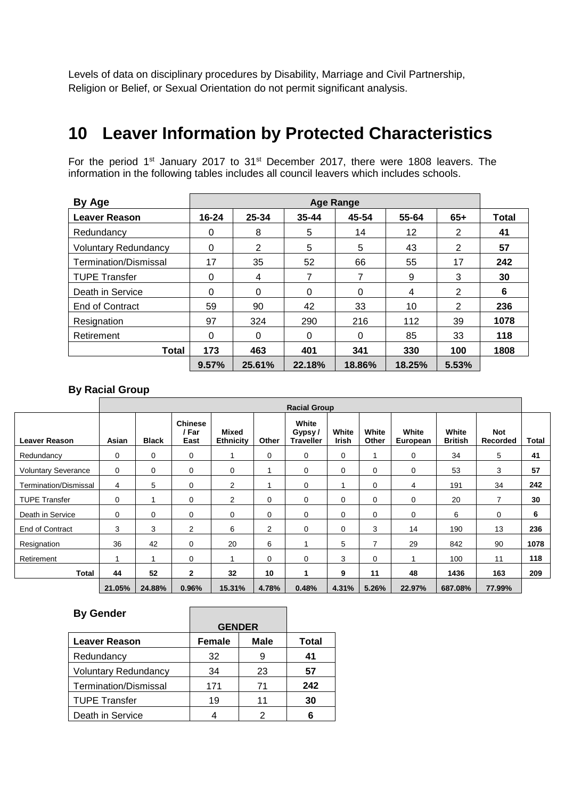Levels of data on disciplinary procedures by Disability, Marriage and Civil Partnership, Religion or Belief, or Sexual Orientation do not permit significant analysis.

## **10 Leaver Information by Protected Characteristics**

For the period 1<sup>st</sup> January 2017 to 31<sup>st</sup> December 2017, there were 1808 leavers. The information in the following tables includes all council leavers which includes schools.

| By Age                      |           |          |           | <b>Age Range</b> |        |       |              |
|-----------------------------|-----------|----------|-----------|------------------|--------|-------|--------------|
| <b>Leaver Reason</b>        | $16 - 24$ | 25-34    | $35 - 44$ | 45-54            | 55-64  | $65+$ | <b>Total</b> |
| Redundancy                  | 0         | 8        | 5         | 14               | 12     | 2     | 41           |
| <b>Voluntary Redundancy</b> | 0         | 2        | 5         | 5                | 43     | 2     | 57           |
| Termination/Dismissal       | 17        | 35       | 52        | 66               | 55     | 17    | 242          |
| <b>TUPE Transfer</b>        | 0         | 4        |           |                  | 9      | 3     | 30           |
| Death in Service            | 0         | $\Omega$ | $\Omega$  | $\Omega$         | 4      | 2     | 6            |
| End of Contract             | 59        | 90       | 42        | 33               | 10     | 2     | 236          |
| Resignation                 | 97        | 324      | 290       | 216              | 112    | 39    | 1078         |
| Retirement                  | 0         | $\Omega$ | 0         | 0                | 85     | 33    | 118          |
| <b>Total</b>                | 173       | 463      | 401       | 341              | 330    | 100   | 1808         |
|                             | 9.57%     | 25.61%   | 22.18%    | 18.86%           | 18.25% | 5.53% |              |

#### **By Racial Group**

|                            |             | <b>Racial Group</b> |                                 |                           |       |                                     |                |                |                   |                         |                               |       |  |
|----------------------------|-------------|---------------------|---------------------------------|---------------------------|-------|-------------------------------------|----------------|----------------|-------------------|-------------------------|-------------------------------|-------|--|
| <b>Leaver Reason</b>       | Asian       | <b>Black</b>        | <b>Chinese</b><br>/ Far<br>East | Mixed<br><b>Ethnicity</b> | Other | White<br>Gypsy/<br><b>Traveller</b> | White<br>Irish | White<br>Other | White<br>European | White<br><b>British</b> | <b>Not</b><br><b>Recorded</b> | Total |  |
| Redundancy                 | 0           | 0                   | $\mathbf 0$                     | 1                         | 0     | $\mathbf 0$                         | 0              |                | $\mathbf 0$       | 34                      | 5                             | 41    |  |
| <b>Voluntary Severance</b> | 0           | 0                   | 0                               | 0                         |       | 0                                   | 0              | 0              | 0                 | 53                      | 3                             | 57    |  |
| Termination/Dismissal      | 4           | 5                   | 0                               | $\overline{2}$            |       | $\Omega$                            | 1              | $\mathbf 0$    | 4                 | 191                     | 34                            | 242   |  |
| <b>TUPE Transfer</b>       | 0           |                     | $\Omega$                        | 2                         | 0     | $\Omega$                            | 0              | 0              | 0                 | 20                      | 7                             | 30    |  |
| Death in Service           | $\mathbf 0$ | 0                   | $\Omega$                        | $\mathbf 0$               | 0     | $\Omega$                            | 0              | $\mathbf 0$    | 0                 | 6                       | $\mathbf 0$                   | 6     |  |
| End of Contract            | 3           | 3                   | $\overline{2}$                  | 6                         | 2     | $\Omega$                            | 0              | 3              | 14                | 190                     | 13                            | 236   |  |
| Resignation                | 36          | 42                  | 0                               | 20                        | 6     |                                     | 5              | $\overline{7}$ | 29                | 842                     | 90                            | 1078  |  |
| Retirement                 | 1           |                     | 0                               | 1                         | 0     | 0                                   | 3              | $\mathbf 0$    |                   | 100                     | 11                            | 118   |  |
| Total                      | 44          | 52                  | $\mathbf{2}$                    | 32                        | 10    | 1                                   | 9              | 11             | 48                | 1436                    | 163                           | 209   |  |
|                            | 21.05%      | 24.88%              | 0.96%                           | 15.31%                    | 4.78% | 0.48%                               | 4.31%          | 5.26%          | 22.97%            | 687.08%                 | 77.99%                        |       |  |

| <b>By Gender</b>             |               |      |              |
|------------------------------|---------------|------|--------------|
|                              | <b>GENDER</b> |      |              |
| <b>Leaver Reason</b>         | <b>Female</b> | Male | <b>Total</b> |
| Redundancy                   | 32            |      | 41           |
| <b>Voluntary Redundancy</b>  | 34            | 23   | 57           |
| <b>Termination/Dismissal</b> | 171           | 71   | 242          |
| <b>TUPE Transfer</b>         | 19            | 11   | 30           |
| Death in Service             |               |      | 6            |